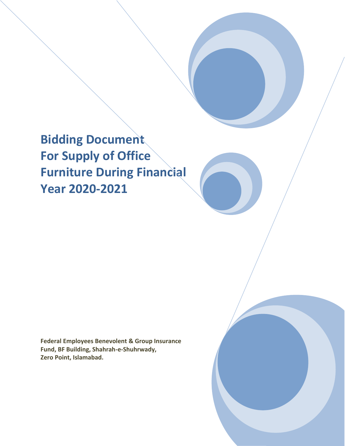**Bidding Document For Supply of Office Furniture During Financial Year 2020-2021**

**Federal Employees Benevolent & Group Insurance Fund, BF Building, Shahrah-e-Shuhrwady, Zero Point, Islamabad.**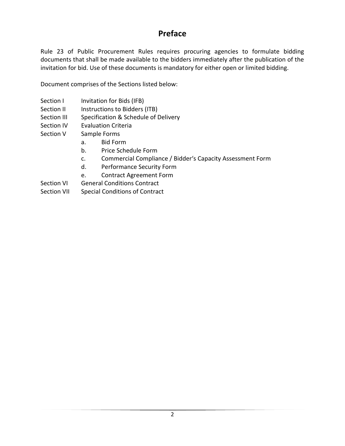# **Preface**

Rule 23 of Public Procurement Rules requires procuring agencies to formulate bidding documents that shall be made available to the bidders immediately after the publication of the invitation for bid. Use of these documents is mandatory for either open or limited bidding.

Document comprises of the Sections listed below:

- Section I Invitation for Bids (IFB)
- Section II lnstructions to Bidders (ITB)
- Section III Specification & Schedule of Delivery
- Section IV Evaluation Criteria
- Section V Sample Forms
	- a. Bid Form
	- b. Price Schedule Form
	- c. Commercial Compliance / Bidder's Capacity Assessment Form
	- d. Performance Security Form
	- e. Contract Agreement Form
- Section VI General Conditions Contract
- Section VII Special Conditions of Contract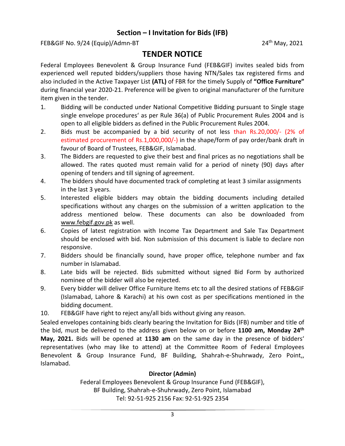### **Section – I Invitation for Bids (IFB)**

FEB&GIF No. 9/24 (Equip)/Admn-BT 24<sup>th</sup> May, 2021

# **TENDER NOTICE**

Federal Employees Benevolent & Group Insurance Fund (FEB&GIF) invites sealed bids from experienced well reputed bidders/suppliers those having NTN/Sales tax registered firms and also included in the Active Taxpayer List **(ATL)** of FBR for the timely Supply of **"Office Furniture"** during financial year 2020-21. Preference will be given to original manufacturer of the furniture item given in the tender.

- 1. Bidding will be conducted under National Competitive Bidding pursuant to Single stage single envelope procedures' as per Rule 36(a) of Public Procurement Rules 2004 and is open to all eligible bidders as defined in the Public Procurement Rules 2004.
- 2. Bids must be accompanied by a bid security of not less than Rs.20,000/- (2% of estimated procurement of Rs.1,000,000/-) in the shape/form of pay order/bank draft in favour of Board of Trustees, FEB&GIF, Islamabad.
- 3. The Bidders are requested to give their best and final prices as no negotiations shall be allowed. The rates quoted must remain valid for a period of ninety (90) days after opening of tenders and till signing of agreement.
- 4. The bidders should have documented track of completing at least 3 similar assignments in the last 3 years.
- 5. Interested eligible bidders may obtain the bidding documents including detailed specifications without any charges on the submission of a written application to the address mentioned below. These documents can also be downloaded from www.febgif.gov.pk as well.
- 6. Copies of latest registration with Income Tax Department and Sale Tax Department should be enclosed with bid. Non submission of this document is liable to declare non responsive.
- 7. Bidders should be financially sound, have proper office, telephone number and fax number in Islamabad.
- 8. Late bids will be rejected. Bids submitted without signed Bid Form by authorized nominee of the bidder will also be rejected.
- 9. Every bidder will deliver Office Furniture Items etc to all the desired stations of FEB&GIF (Islamabad, Lahore & Karachi) at his own cost as per specifications mentioned in the bidding document.
- 10. FEB&GIF have right to reject any/all bids without giving any reason.

Sealed envelopes containing bids clearly bearing the Invitation for Bids (IFB) number and title of the bid, must be delivered to the address given below on or before **1100 am, Monday 24th May, 2021.** Bids will be opened at **1130 am** on the same day in the presence of bidders' representatives (who may like to attend) at the Committee Room of Federal Employees Benevolent & Group Insurance Fund, BF Building, Shahrah-e-Shuhrwady, Zero Point,, Islamabad.

#### **Director (Admin)**

Federal Employees Benevolent & Group Insurance Fund (FEB&GIF), BF Building, Shahrah-e-Shuhrwady, Zero Point, Islamabad Tel: 92-51-925 2156 Fax: 92-51-925 2354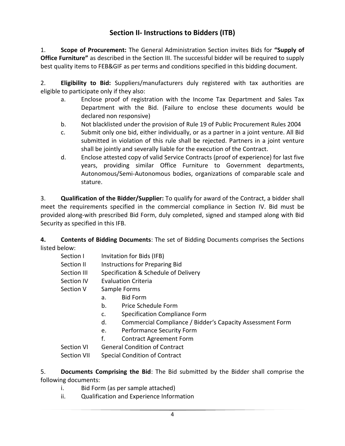## **Section II- Instructions to Bidders (ITB)**

1. **Scope of Procurement:** The General Administration Section invites Bids for **"Supply of Office Furniture"** as described in the Section III. The successful bidder will be required to supply best quality items to FEB&GIF as per terms and conditions specified in this bidding document.

2. **Eligibility to Bid:** Suppliers/manufacturers duly registered with tax authorities are eligible to participate only if they also:

- a. Enclose proof of registration with the Income Tax Department and Sales Tax Department with the Bid. (Failure to enclose these documents would be declared non responsive)
- b. Not blacklisted under the provision of Rule 19 of Public Procurement Rules 2004
- c. Submit only one bid, either individually, or as a partner in a joint venture. All Bid submitted in violation of this rule shall be rejected. Partners in a joint venture shall be jointly and severally liable for the execution of the Contract.
- d. Enclose attested copy of valid Service Contracts (proof of experience) for last five years, providing similar Office Furniture to Government departments, Autonomous/Semi-Autonomous bodies, organizations of comparable scale and stature.

3. **Qualification of the Bidder/Supplier:** To qualify for award of the Contract, a bidder shall meet the requirements specified in the commercial compliance in Section IV. Bid must be provided along-with prescribed Bid Form, duly completed, signed and stamped along with Bid Security as specified in this IFB.

**4. Contents of Bidding Documents**: The set of Bidding Documents comprises the Sections listed below:

- Section I Invitation for Bids (IFB)
- Section II lnstructions for Preparing Bid
- Section III Specification & Schedule of Delivery
- Section IV Evaluation Criteria
- Section V Sample Forms
	- a. Bid Form
	- b. Price Schedule Form
	- c. Specification Compliance Form
	- d. Commercial Compliance / Bidder's Capacity Assessment Form
	- e. Performance Security Form
	- f. Contract Agreement Form

Section VI General Condition of Contract

Section VII Special Condition of Contract

- 5. **Documents Comprising the Bid**: The Bid submitted by the Bidder shall comprise the following documents:
	- i. Bid Form (as per sample attached)
	- ii. Qualification and Experience Information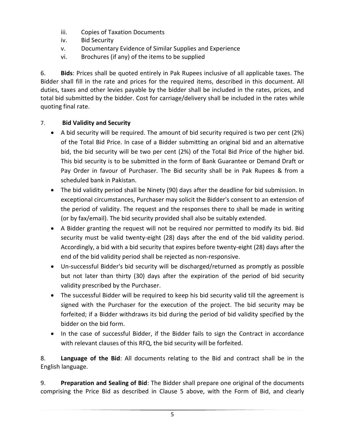- iii. Copies of Taxation Documents
- iv. Bid Security
- v. Documentary Evidence of Similar Supplies and Experience
- vi. Brochures (if any) of the items to be supplied

6. **Bids**: Prices shall be quoted entirely in Pak Rupees inclusive of all applicable taxes. The Bidder shall fill in the rate and prices for the required items, described in this document. All duties, taxes and other levies payable by the bidder shall be included in the rates, prices, and total bid submitted by the bidder. Cost for carriage/delivery shall be included in the rates while quoting final rate.

#### 7. **Bid Validity and Security**

- A bid security will be required. The amount of bid security required is two per cent (2%) of the Total Bid Price. In case of a Bidder submitting an original bid and an alternative bid, the bid security will be two per cent (2%) of the Total Bid Price of the higher bid. This bid security is to be submitted in the form of Bank Guarantee or Demand Draft or Pay Order in favour of Purchaser. The Bid security shall be in Pak Rupees & from a scheduled bank in Pakistan.
- The bid validity period shall be Ninety (90) days after the deadline for bid submission. In exceptional circumstances, Purchaser may solicit the Bidder's consent to an extension of the period of validity. The request and the responses there to shall be made in writing (or by fax/email). The bid security provided shall also be suitably extended.
- A Bidder granting the request will not be required nor permitted to modify its bid. Bid security must be valid twenty-eight (28) days after the end of the bid validity period. Accordingly, a bid with a bid security that expires before twenty-eight (28) days after the end of the bid validity period shall be rejected as non-responsive.
- Un-successful Bidder's bid security will be discharged/returned as promptly as possible but not later than thirty (30) days after the expiration of the period of bid security validity prescribed by the Purchaser.
- The successful Bidder will be required to keep his bid security valid till the agreement is signed with the Purchaser for the execution of the project. The bid security may be forfeited; if a Bidder withdraws its bid during the period of bid validity specified by the bidder on the bid form.
- In the case of successful Bidder, if the Bidder fails to sign the Contract in accordance with relevant clauses of this RFQ, the bid security will be forfeited.

8. **Language of the Bid**: All documents relating to the Bid and contract shall be in the English language.

9. **Preparation and Sealing of Bid**: The Bidder shall prepare one original of the documents comprising the Price Bid as described in Clause 5 above, with the Form of Bid, and clearly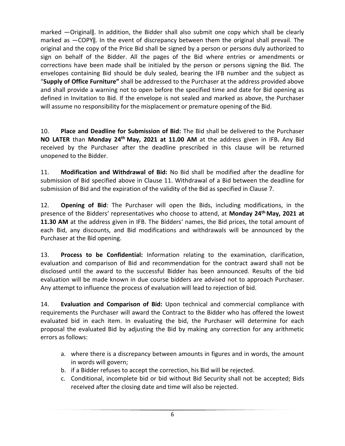marked ―Original‖. In addition, the Bidder shall also submit one copy which shall be clearly marked as ―COPY‖. In the event of discrepancy between them the original shall prevail. The original and the copy of the Price Bid shall be signed by a person or persons duly authorized to sign on behalf of the Bidder. All the pages of the Bid where entries or amendments or corrections have been made shall be initialed by the person or persons signing the Bid. The envelopes containing Bid should be duly sealed, bearing the IFB number and the subject as "**Supply of Office Furniture"** shall be addressed to the Purchaser at the address provided above and shall provide a warning not to open before the specified time and date for Bid opening as defined in Invitation to Bid. If the envelope is not sealed and marked as above, the Purchaser will assume no responsibility for the misplacement or premature opening of the Bid.

10. **Place and Deadline for Submission of Bid:** The Bid shall be delivered to the Purchaser **NO LATER** than **Monday 24th May, 2021 at 11.00 AM** at the address given in IFB**.** Any Bid received by the Purchaser after the deadline prescribed in this clause will be returned unopened to the Bidder.

11. **Modification and Withdrawal of Bid:** No Bid shall be modified after the deadline for submission of Bid specified above in Clause 11. Withdrawal of a Bid between the deadline for submission of Bid and the expiration of the validity of the Bid as specified in Clause 7.

12. **Opening of Bid**: The Purchaser will open the Bids, including modifications, in the presence of the Bidders' representatives who choose to attend, at **Monday 24th May, 2021 at 11.30 AM** at the address given in IFB. The Bidders' names, the Bid prices, the total amount of each Bid, any discounts, and Bid modifications and withdrawals will be announced by the Purchaser at the Bid opening.

13. **Process to be Confidential:** Information relating to the examination, clarification, evaluation and comparison of Bid and recommendation for the contract award shall not be disclosed until the award to the successful Bidder has been announced. Results of the bid evaluation will be made known in due course bidders are advised not to approach Purchaser. Any attempt to influence the process of evaluation will lead to rejection of bid.

14. **Evaluation and Comparison of Bid:** Upon technical and commercial compliance with requirements the Purchaser will award the Contract to the Bidder who has offered the lowest evaluated bid in each item. In evaluating the bid, the Purchaser will determine for each proposal the evaluated Bid by adjusting the Bid by making any correction for any arithmetic errors as follows:

- a. where there is a discrepancy between amounts in figures and in words, the amount in words will govern;
- b. if a Bidder refuses to accept the correction, his Bid will be rejected.
- c. Conditional, incomplete bid or bid without Bid Security shall not be accepted; Bids received after the closing date and time will also be rejected.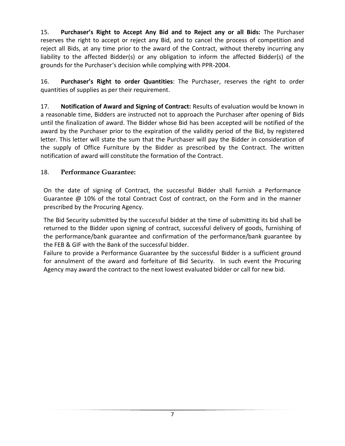15. **Purchaser's Right to Accept Any Bid and to Reject any or all Bids:** The Purchaser reserves the right to accept or reject any Bid, and to cancel the process of competition and reject all Bids, at any time prior to the award of the Contract, without thereby incurring any liability to the affected Bidder(s) or any obligation to inform the affected Bidder(s) of the grounds for the Purchaser's decision while complying with PPR-2004.

16. **Purchaser's Right to order Quantities**: The Purchaser, reserves the right to order quantities of supplies as per their requirement.

17. **Notification of Award and Signing of Contract:** Results of evaluation would be known in a reasonable time, Bidders are instructed not to approach the Purchaser after opening of Bids until the finalization of award. The Bidder whose Bid has been accepted will be notified of the award by the Purchaser prior to the expiration of the validity period of the Bid, by registered letter. This letter will state the sum that the Purchaser will pay the Bidder in consideration of the supply of Office Furniture by the Bidder as prescribed by the Contract. The written notification of award will constitute the formation of the Contract.

### 18. **Performance Guarantee:**

On the date of signing of Contract, the successful Bidder shall furnish a Performance Guarantee  $\omega$  10% of the total Contract Cost of contract, on the Form and in the manner prescribed by the Procuring Agency.

The Bid Security submitted by the successful bidder at the time of submitting its bid shall be returned to the Bidder upon signing of contract, successful delivery of goods, furnishing of the performance/bank guarantee and confirmation of the performance/bank guarantee by the FEB & GIF with the Bank of the successful bidder.

Failure to provide a Performance Guarantee by the successful Bidder is a sufficient ground for annulment of the award and forfeiture of Bid Security. In such event the Procuring Agency may award the contract to the next lowest evaluated bidder or call for new bid.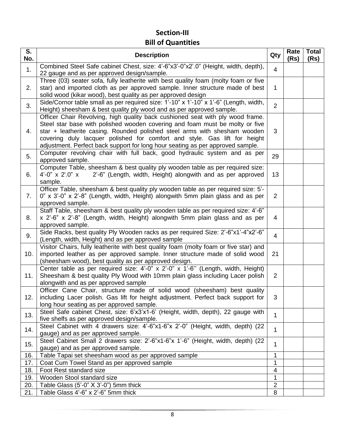# **Section-III Bill of Quantities**

| S.<br>No. | <b>Description</b>                                                                                                                                                                                                                                                                                                                                                                                         | Qty            | Rate<br>(Rs) | <b>Total</b><br>(Rs) |
|-----------|------------------------------------------------------------------------------------------------------------------------------------------------------------------------------------------------------------------------------------------------------------------------------------------------------------------------------------------------------------------------------------------------------------|----------------|--------------|----------------------|
| 1.        | Combined Steel Safe cabinet Chest, size: 4'-6"x3'-0"x2'.0" (Height, width, depth),<br>22 gauge and as per approved design/sample.                                                                                                                                                                                                                                                                          | 4              |              |                      |
| 2.        | Three (03) seater sofa, fully leatherite with best quality foam (molty foam or five<br>star) and imported cloth as per approved sample. Inner structure made of best<br>solid wood (kikar wood), best quality as per approved design                                                                                                                                                                       | 1              |              |                      |
| 3.        | Side/Cornor table small as per required size: 1'-10" x 1'-10" x 1'-6" (Length, width,<br>Height) sheesham & best quality ply wood and as per approved sample.                                                                                                                                                                                                                                              | $\overline{2}$ |              |                      |
| 4.        | Officer Chair Revolving, high quality back cushioned seat with ply wood frame.<br>Steel star base with polished wooden covering and foam must be molty or five<br>star + leatherite casing. Rounded polished steel arms with shesham wooden<br>covering duly lacquer polished for comfort and style. Gas lift for height<br>adjustment. Perfect back support for long hour seating as per approved sample. | 3              |              |                      |
| 5.        | Computer revolving chair with full back, good hydraulic system and as per<br>approved sample.                                                                                                                                                                                                                                                                                                              | 29             |              |                      |
| 6.        | Computer Table, sheesham & best quality ply wooden table as per required size:<br>$4'-0''$ x 2'.0" x<br>2'-6" (Length, width, Height) alongwith and as per approved<br>sample.                                                                                                                                                                                                                             | 13             |              |                      |
| 7.        | Officer Table, sheesham & best quality ply wooden table as per required size: 5'-<br>0" x 3'-0" x 2'-8" (Length, width, Height) alongwith 5mm plain glass and as per<br>approved sample.                                                                                                                                                                                                                   | $\overline{2}$ |              |                      |
| 8.        | Staff Table, sheesham & best quality ply wooden table as per required size: 4'-6"<br>x 2'-6" x 2'-8" (Length, width, Height) alongwith 5mm plain glass and as per<br>approved sample.                                                                                                                                                                                                                      | 4              |              |                      |
| 9.        | Side Racks, best quality Ply Wooden racks as per required Size: 2'-6"x1'-4"x2'-6"<br>(Length, width, Height) and as per approved sample                                                                                                                                                                                                                                                                    | 4              |              |                      |
| 10.       | Visitor Chairs, fully leatherite with best quality foam (molty foam or five star) and<br>imported leather as per approved sample. Inner structure made of solid wood<br>(sheesham wood), best quality as per approved design.                                                                                                                                                                              | 21             |              |                      |
| 11.       | Center table as per required size: 4'-0" x 2'-0" x 1'-6" (Length, width, Height)<br>Sheesham & best quality Ply Wood with 10mm plain glass including Lacer polish<br>alongwith and as per approved sample                                                                                                                                                                                                  | $\overline{2}$ |              |                      |
| 12.       | Officer Cane Chair, structure made of solid wood (sheesham) best quality<br>including Lacer polish. Gas lift for height adjustment. Perfect back support for<br>long hour seating as per approved sample.                                                                                                                                                                                                  | 3              |              |                      |
| 13.       | Steel Safe cabinet Chest, size: 6'x3'x1-6' (Height, width, depth), 22 gauge with<br>five shelfs as per approved design/sample.                                                                                                                                                                                                                                                                             | 1              |              |                      |
| 14.       | Steel Cabinet with 4 drawers size: 4'-6"x1-6"x 2'-0" (Height, width, depth) (22<br>gauge) and as per approved sample.                                                                                                                                                                                                                                                                                      | 1              |              |                      |
| 15.       | Steel Cabinet Small 2 drawers size: 2'-6"x1-6"x 1'-6" (Height, width, depth) (22<br>gauge) and as per approved sample.                                                                                                                                                                                                                                                                                     | $\mathbf{1}$   |              |                      |
| 16.       | Table Tapai set sheesham wood as per approved sample                                                                                                                                                                                                                                                                                                                                                       | 1              |              |                      |
| 17.       | Coat Cum Towel Stand as per approved sample                                                                                                                                                                                                                                                                                                                                                                | 1              |              |                      |
| 18.       | Foot Rest standard size                                                                                                                                                                                                                                                                                                                                                                                    | $\overline{4}$ |              |                      |
| 19.       | Wooden Stool standard size                                                                                                                                                                                                                                                                                                                                                                                 | $\mathbf{1}$   |              |                      |
| 20.       | Table Glass $(5'-0'' \times 3'-0'')$ 5mm thick                                                                                                                                                                                                                                                                                                                                                             | $\overline{2}$ |              |                      |
| 21.       | Table Glass 4'-6" x 2'-6" 5mm thick                                                                                                                                                                                                                                                                                                                                                                        | 8              |              |                      |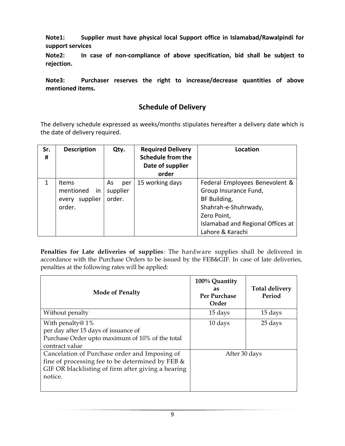**Note1: Supplier must have physical local Support office in Islamabad/Rawalpindi for support services**

**Note2: In case of non-compliance of above specification, bid shall be subject to rejection.**

**Note3: Purchaser reserves the right to increase/decrease quantities of above mentioned items.**

### **Schedule of Delivery**

The delivery schedule expressed as weeks/months stipulates hereafter a delivery date which is the date of delivery required.

| Sr.<br># | <b>Description</b>                                             | Qty.                            | <b>Required Delivery</b><br><b>Schedule from the</b><br>Date of supplier<br>order | Location                                                                                                                                                                |
|----------|----------------------------------------------------------------|---------------------------------|-----------------------------------------------------------------------------------|-------------------------------------------------------------------------------------------------------------------------------------------------------------------------|
| 1        | <b>Items</b><br>mentioned<br>in<br>supplier<br>every<br>order. | As<br>per<br>supplier<br>order. | 15 working days                                                                   | Federal Employees Benevolent &<br>Group Insurance Fund,<br>BF Building,<br>Shahrah-e-Shuhrwady,<br>Zero Point,<br>Islamabad and Regional Offices at<br>Lahore & Karachi |

**Penalties for Late deliveries of supplies**: The hardware supplies shall be delivered in accordance with the Purchase Orders to be issued by the FEB&GIF. In case of late deliveries, penalties at the following rates will be applied:

| <b>Mode of Penalty</b>                                                                                                                                             | 100% Quantity<br>as<br>Per Purchase<br>Order | <b>Total delivery</b><br>Period |
|--------------------------------------------------------------------------------------------------------------------------------------------------------------------|----------------------------------------------|---------------------------------|
| Without penalty                                                                                                                                                    | 15 days                                      | 15 days                         |
| With penalty@ $1\%$<br>per day after 15 days of issuance of<br>Purchase Order upto maximum of 10% of the total<br>contract value                                   | 10 days                                      | 25 days                         |
| Cancelation of Purchase order and Imposing of<br>fine of processing fee to be determined by FEB &<br>GIF OR blacklisting of firm after giving a hearing<br>notice. | After 30 days                                |                                 |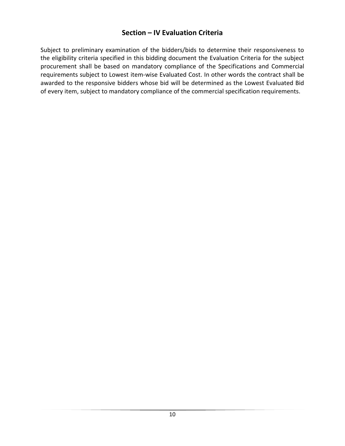### **Section – IV Evaluation Criteria**

Subject to preliminary examination of the bidders/bids to determine their responsiveness to the eligibility criteria specified in this bidding document the Evaluation Criteria for the subject procurement shall be based on mandatory compliance of the Specifications and Commercial requirements subject to Lowest item-wise Evaluated Cost. In other words the contract shall be awarded to the responsive bidders whose bid will be determined as the Lowest Evaluated Bid of every item, subject to mandatory compliance of the commercial specification requirements.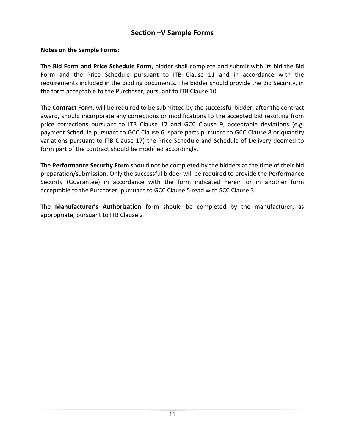### **Section –V Sample Forms**

#### **Notes on the Sample Forms:**

The **Bid Form and Price Schedule Form**, bidder shall complete and submit with its bid the Bid Form and the Price Schedule pursuant to ITB Clause 11 and in accordance with the requirements included in the bidding documents. The bidder should provide the Bid Security, in the form acceptable to the Purchaser, pursuant to ITB Clause 10

The **Contract Form**, will be required to be submitted by the successful bidder, after the contract award, should incorporate any corrections or modifications to the accepted bid resulting from price corrections pursuant to ITB Clause 17 and GCC Clause 9, acceptable deviations (e.g. payment Schedule pursuant to GCC Clause 6, spare parts pursuant to GCC Clause 8 or quantity variations pursuant to ITB Clause 17) the Price Schedule and Schedule of Delivery deemed to form part of the contract should be modified accordingly.

The **Performance Security Form** should not be completed by the bidders at the time of their bid preparation/submission. Only the successful bidder will be required to provide the Performance Security (Guarantee) in accordance with the form indicated herein or in another form acceptable to the Purchaser, pursuant to GCC Clause 5 read with SCC Clause 3.

The **Manufacturer's Authorization** form should be completed by the manufacturer, as appropriate, pursuant to ITB Clause 2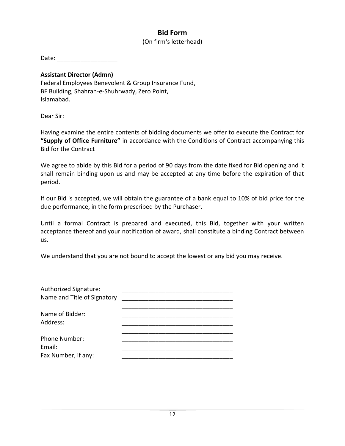## **Bid Form**

#### (On firm's letterhead)

Date:  $\Box$ 

#### **Assistant Director (Admn)**

Federal Employees Benevolent & Group Insurance Fund, BF Building, Shahrah-e-Shuhrwady, Zero Point, Islamabad.

Dear Sir:

Having examine the entire contents of bidding documents we offer to execute the Contract for **"Supply of Office Furniture"** in accordance with the Conditions of Contract accompanying this Bid for the Contract

We agree to abide by this Bid for a period of 90 days from the date fixed for Bid opening and it shall remain binding upon us and may be accepted at any time before the expiration of that period.

If our Bid is accepted, we will obtain the guarantee of a bank equal to 10% of bid price for the due performance, in the form prescribed by the Purchaser.

Until a formal Contract is prepared and executed, this Bid, together with your written acceptance thereof and your notification of award, shall constitute a binding Contract between us.

We understand that you are not bound to accept the lowest or any bid you may receive.

| Authorized Signature:<br>Name and Title of Signatory |  |
|------------------------------------------------------|--|
| Name of Bidder:<br>Address:                          |  |
| Phone Number:                                        |  |
| Email:<br>Fax Number, if any:                        |  |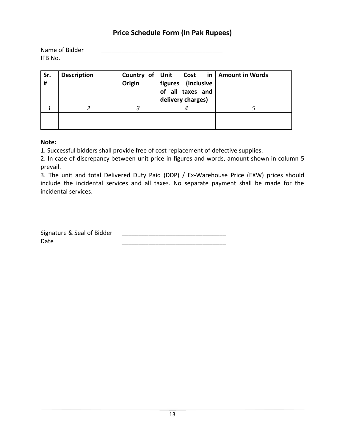### **Price Schedule Form (In Pak Rupees)**

| Name of Bidder |  |
|----------------|--|
| IFB No.        |  |

| Sr.<br># | <b>Description</b> | Origin | Country of Unit Cost in Amount in Words<br>figures (Inclusive<br>of all taxes and<br>delivery charges) |  |
|----------|--------------------|--------|--------------------------------------------------------------------------------------------------------|--|
|          |                    |        |                                                                                                        |  |
|          |                    |        |                                                                                                        |  |
|          |                    |        |                                                                                                        |  |

#### **Note:**

1. Successful bidders shall provide free of cost replacement of defective supplies.

2. In case of discrepancy between unit price in figures and words, amount shown in column 5 prevail.

3. The unit and total Delivered Duty Paid (DDP) / Ex-Warehouse Price (EXW) prices should include the incidental services and all taxes. No separate payment shall be made for the incidental services.

Signature & Seal of Bidder \_\_\_\_\_\_\_\_\_\_\_\_\_\_\_\_\_\_\_\_\_\_\_\_\_\_\_\_\_\_\_ Date \_\_\_\_\_\_\_\_\_\_\_\_\_\_\_\_\_\_\_\_\_\_\_\_\_\_\_\_\_\_\_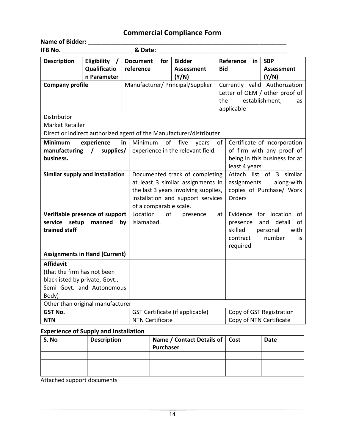# **Commercial Compliance Form**

| <b>Name of Bidder:</b><br>IFB No.                                                                                       | & Date:                                |                                                                                                                                          |                                                    |                                                                                                                                         |  |
|-------------------------------------------------------------------------------------------------------------------------|----------------------------------------|------------------------------------------------------------------------------------------------------------------------------------------|----------------------------------------------------|-----------------------------------------------------------------------------------------------------------------------------------------|--|
| Eligibility<br><b>Description</b><br>Qualificatio<br>n Parameter                                                        | <b>Document</b><br>for<br>reference    | <b>Bidder</b><br><b>Assessment</b><br>(Y/N)                                                                                              | Reference<br>in<br><b>Bid</b>                      | <b>SBP</b><br><b>Assessment</b><br>(Y/N)                                                                                                |  |
| <b>Company profile</b><br>Distributor<br><b>Market Retailer</b>                                                         | Manufacturer/ Principal/Supplier       |                                                                                                                                          | Currently valid Authorization<br>the<br>applicable | Letter of OEM / other proof of<br>establishment,<br>as                                                                                  |  |
| Direct or indirect authorized agent of the Manufacturer/distributer                                                     |                                        |                                                                                                                                          |                                                    |                                                                                                                                         |  |
| <b>Minimum</b><br>experience<br>manufacturing /<br>supplies/<br>business.<br>Similar supply and installation            | in<br>Minimum                          | of<br>five<br>of<br>years<br>experience in the relevant field.<br>Documented track of completing                                         |                                                    | Certificate of Incorporation<br>of firm with any proof of<br>being in this business for at<br>least 4 years<br>Attach list of 3 similar |  |
|                                                                                                                         |                                        | at least 3 similar assignments in<br>the last 3 years involving supplies,<br>installation and support services<br>of a comparable scale. |                                                    | assignments<br>along-with<br>copies of Purchase/ Work<br>Orders                                                                         |  |
| Verifiable presence of support<br>service setup<br>manned<br>trained staff                                              | Location<br>of<br>Islamabad.<br>by     | presence                                                                                                                                 | at<br>presence<br>skilled<br>contract<br>required  | Evidence for location<br>of<br>and<br>detail<br>of<br>with<br>personal<br>number<br>is                                                  |  |
| <b>Assignments in Hand (Current)</b>                                                                                    |                                        |                                                                                                                                          |                                                    |                                                                                                                                         |  |
| <b>Affidavit</b><br>(that the firm has not been<br>blacklisted by private, Govt.,<br>Semi Govt. and Autonomous<br>Body) |                                        |                                                                                                                                          |                                                    |                                                                                                                                         |  |
| Other than original manufacturer                                                                                        |                                        |                                                                                                                                          |                                                    |                                                                                                                                         |  |
| <b>GST No.</b>                                                                                                          | <b>GST Certificate (if applicable)</b> |                                                                                                                                          |                                                    | Copy of GST Registration                                                                                                                |  |
| <b>NTN</b>                                                                                                              | <b>NTN Certificate</b>                 |                                                                                                                                          | Copy of NTN Certificate                            |                                                                                                                                         |  |

#### **Experience of Supply and Installation**

| S. No | <b>Description</b> | Name / Contact Details of   Cost<br>Purchaser | <b>Date</b> |
|-------|--------------------|-----------------------------------------------|-------------|
|       |                    |                                               |             |
|       |                    |                                               |             |
|       |                    |                                               |             |

Attached support documents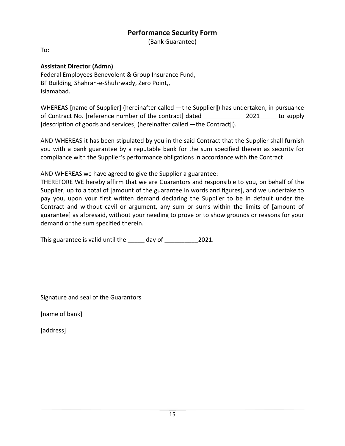#### **Performance Security Form**

(Bank Guarantee)

To:

#### **Assistant Director (Admn)**

Federal Employees Benevolent & Group Insurance Fund, BF Building, Shahrah-e-Shuhrwady, Zero Point,, Islamabad.

WHEREAS [name of Supplier] (hereinafter called ―the Supplier‖) has undertaken, in pursuance of Contract No. [reference number of the contract] dated \_\_\_\_\_\_\_\_\_\_\_\_ 2021\_\_\_\_\_ to supply [description of goods and services] (hereinafter called —the Contract||).

AND WHEREAS it has been stipulated by you in the said Contract that the Supplier shall furnish you with a bank guarantee by a reputable bank for the sum specified therein as security for compliance with the Supplier's performance obligations in accordance with the Contract

AND WHEREAS we have agreed to give the Supplier a guarantee:

THEREFORE WE hereby affirm that we are Guarantors and responsible to you, on behalf of the Supplier, up to a total of [amount of the guarantee in words and figures], and we undertake to pay you, upon your first written demand declaring the Supplier to be in default under the Contract and without cavil or argument, any sum or sums within the limits of [amount of guarantee] as aforesaid, without your needing to prove or to show grounds or reasons for your demand or the sum specified therein.

This guarantee is valid until the \_\_\_\_\_ day of \_\_\_\_\_\_\_\_\_\_\_\_\_\_\_\_\_\_\_\_\_\_\_\_\_\_\_\_\_\_\_\_\_\_

Signature and seal of the Guarantors

[name of bank]

[address]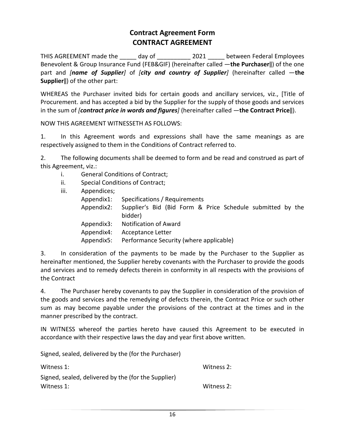### **Contract Agreement Form CONTRACT AGREEMENT**

THIS AGREEMENT made the day of  $2021$  between Federal Employees Benevolent & Group Insurance Fund (FEB&GIF) (hereinafter called ―**the Purchaser**‖) of the one part and *[name of Supplier]* of *[city and country of Supplier]* (hereinafter called ―**the Supplier**‖) of the other part:

WHEREAS the Purchaser invited bids for certain goods and ancillary services, viz., [Title of Procurement. and has accepted a bid by the Supplier for the supply of those goods and services in the sum of *[contract price in words and figures]* (hereinafter called ―**the Contract Price**‖).

NOW THIS AGREEMENT WITNESSETH AS FOLLOWS:

1. In this Agreement words and expressions shall have the same meanings as are respectively assigned to them in the Conditions of Contract referred to.

2. The following documents shall be deemed to form and be read and construed as part of this Agreement, viz.:

- i. General Conditions of Contract;
- ii. Special Conditions of Contract;
- iii. Appendices; Appendix1: Specifications / Requirements Appendix2: Supplier's Bid (Bid Form & Price Schedule submitted by the bidder) Appendix3: Notification of Award Appendix4: Acceptance Letter Appendix5: Performance Security (where applicable)

3. In consideration of the payments to be made by the Purchaser to the Supplier as hereinafter mentioned, the Supplier hereby covenants with the Purchaser to provide the goods and services and to remedy defects therein in conformity in all respects with the provisions of the Contract

4. The Purchaser hereby covenants to pay the Supplier in consideration of the provision of the goods and services and the remedying of defects therein, the Contract Price or such other sum as may become payable under the provisions of the contract at the times and in the manner prescribed by the contract.

IN WITNESS whereof the parties hereto have caused this Agreement to be executed in accordance with their respective laws the day and year first above written.

Signed, sealed, delivered by the (for the Purchaser)

| Witness 1:                                          | Witness 2: |
|-----------------------------------------------------|------------|
| Signed, sealed, delivered by the (for the Supplier) |            |
| Witness 1:                                          | Witness 2: |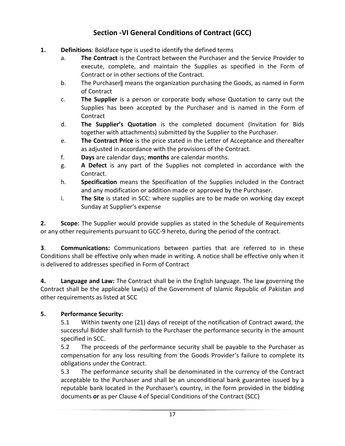# **Section -VI General Conditions of Contract (GCC)**

- **1. Definitions**: Boldface type is used to identify the defined terms
	- a. **The Contract** is the Contract between the Purchaser and the Service Provider to execute, complete, and maintain the Supplies as specified in the Form of Contract or in other sections of the Contract.
	- b. The Purchaser‖ means the organization purchasing the Goods, as named in Form of Contract
	- c. **The Supplier** is a person or corporate body whose Quotation to carry out the Supplies has been accepted by the Purchaser and is named in the Form of Contract
	- d. **The Supplier's Quotation** is the completed document (Invitation for Bids together with attachments) submitted by the Supplier to the Purchaser.
	- e. **The Contract Price** is the price stated in the Letter of Acceptance and thereafter as adjusted in accordance with the provisions of the Contract.
	- f. **Days** are calendar days; **months** are calendar months.
	- g. **A Defect** is any part of the Supplies not completed in accordance with the Contract.
	- h. **Specification** means the Specification of the Supplies included in the Contract and any modification or addition made or approved by the Purchaser.
	- i. **The Site** is stated in SCC: where supplies are to be made on working day except Sunday at Supplier's expense

**2. Scope:** The Supplier would provide supplies as stated in the Schedule of Requirements or any other requirements pursuant to GCC-9 hereto, during the period of the contract.

**3**. **Communications:** Communications between parties that are referred to in these Conditions shall be effective only when made in writing. A notice shall be effective only when it is delivered to addresses specified in Form of Contract

**4. Language and Law:** The Contract shall be in the English language. The law governing the Contract shall be the applicable law(s) of the Government of Islamic Republic of Pakistan and other requirements as listed at SCC

### **5. Performance Security:**

5.1 Within twenty one (21) days of receipt of the notification of Contract award, the successful Bidder shall furnish to the Purchaser the performance security in the amount specified in SCC.

5.2 The proceeds of the performance security shall be payable to the Purchaser as compensation for any loss resulting from the Goods Provider's failure to complete its obligations under the Contract.

5.3 The performance security shall be denominated in the currency of the Contract acceptable to the Purchaser and shall be an unconditional bank guarantee issued by a reputable bank located in the Purchaser's country, in the form provided in the bidding documents **or** as per Clause 4 of Special Conditions of the Contract (SCC)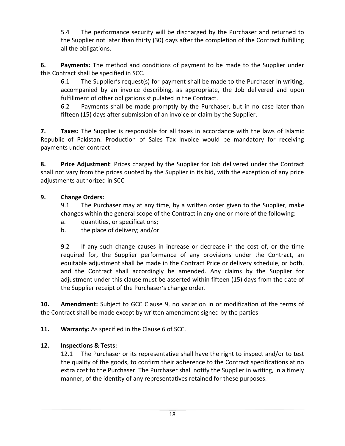5.4 The performance security will be discharged by the Purchaser and returned to the Supplier not later than thirty (30) days after the completion of the Contract fulfilling all the obligations.

**6. Payments:** The method and conditions of payment to be made to the Supplier under this Contract shall be specified in SCC.

6.1 The Supplier's request(s) for payment shall be made to the Purchaser in writing, accompanied by an invoice describing, as appropriate, the Job delivered and upon fulfillment of other obligations stipulated in the Contract.

6.2 Payments shall be made promptly by the Purchaser, but in no case later than fifteen (15) days after submission of an invoice or claim by the Supplier.

**7. Taxes:** The Supplier is responsible for all taxes in accordance with the laws of Islamic Republic of Pakistan. Production of Sales Tax Invoice would be mandatory for receiving payments under contract

**8. Price Adjustment**: Prices charged by the Supplier for Job delivered under the Contract shall not vary from the prices quoted by the Supplier in its bid, with the exception of any price adjustments authorized in SCC

#### **9. Change Orders:**

9.1 The Purchaser may at any time, by a written order given to the Supplier, make changes within the general scope of the Contract in any one or more of the following:

- a. quantities, or specifications;
- b. the place of delivery; and/or

9.2 If any such change causes in increase or decrease in the cost of, or the time required for, the Supplier performance of any provisions under the Contract, an equitable adjustment shall be made in the Contract Price or delivery schedule, or both, and the Contract shall accordingly be amended. Any claims by the Supplier for adjustment under this clause must be asserted within fifteen (15) days from the date of the Supplier receipt of the Purchaser's change order.

**10. Amendment:** Subject to GCC Clause 9, no variation in or modification of the terms of the Contract shall be made except by written amendment signed by the parties

**11. Warranty:** As specified in the Clause 6 of SCC.

#### **12. Inspections & Tests:**

12.1 The Purchaser or its representative shall have the right to inspect and/or to test the quality of the goods, to confirm their adherence to the Contract specifications at no extra cost to the Purchaser. The Purchaser shall notify the Supplier in writing, in a timely manner, of the identity of any representatives retained for these purposes.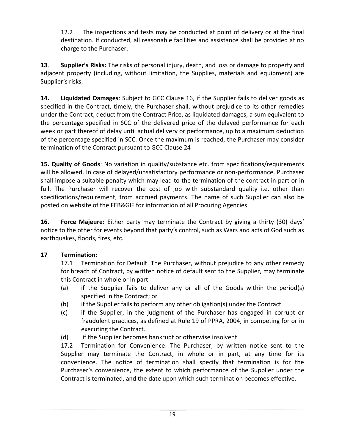12.2 The inspections and tests may be conducted at point of delivery or at the final destination. If conducted, all reasonable facilities and assistance shall be provided at no charge to the Purchaser.

**13**. **Supplier's Risks:** The risks of personal injury, death, and loss or damage to property and adjacent property (including, without limitation, the Supplies, materials and equipment) are Supplier's risks.

**14. Liquidated Damages**: Subject to GCC Clause 16, if the Supplier fails to deliver goods as specified in the Contract, timely, the Purchaser shall, without prejudice to its other remedies under the Contract, deduct from the Contract Price, as liquidated damages, a sum equivalent to the percentage specified in SCC of the delivered price of the delayed performance for each week or part thereof of delay until actual delivery or performance, up to a maximum deduction of the percentage specified in SCC. Once the maximum is reached, the Purchaser may consider termination of the Contract pursuant to GCC Clause 24

**15. Quality of Goods**: No variation in quality/substance etc. from specifications/requirements will be allowed. In case of delayed/unsatisfactory performance or non-performance, Purchaser shall impose a suitable penalty which may lead to the termination of the contract in part or in full. The Purchaser will recover the cost of job with substandard quality i.e. other than specifications/requirement, from accrued payments. The name of such Supplier can also be posted on website of the FEB&GIF for information of all Procuring Agencies

**16. Force Majeure:** Either party may terminate the Contract by giving a thirty (30) days' notice to the other for events beyond that party's control, such as Wars and acts of God such as earthquakes, floods, fires, etc.

### **17 Termination:**

17.1 Termination for Default. The Purchaser, without prejudice to any other remedy for breach of Contract, by written notice of default sent to the Supplier, may terminate this Contract in whole or in part:

- (a) if the Supplier fails to deliver any or all of the Goods within the period(s) specified in the Contract; or
- (b) if the Supplier fails to perform any other obligation(s) under the Contract.
- (c) if the Supplier, in the judgment of the Purchaser has engaged in corrupt or fraudulent practices, as defined at Rule 19 of PPRA, 2004, in competing for or in executing the Contract.
- (d) if the Supplier becomes bankrupt or otherwise insolvent

17.2 Termination for Convenience. The Purchaser, by written notice sent to the Supplier may terminate the Contract, in whole or in part, at any time for its convenience. The notice of termination shall specify that termination is for the Purchaser's convenience, the extent to which performance of the Supplier under the Contract is terminated, and the date upon which such termination becomes effective.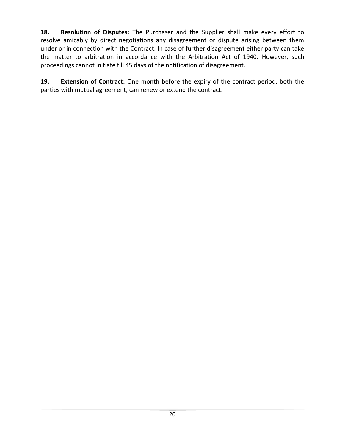**18. Resolution of Disputes:** The Purchaser and the Supplier shall make every effort to resolve amicably by direct negotiations any disagreement or dispute arising between them under or in connection with the Contract. In case of further disagreement either party can take the matter to arbitration in accordance with the Arbitration Act of 1940. However, such proceedings cannot initiate till 45 days of the notification of disagreement.

**19. Extension of Contract:** One month before the expiry of the contract period, both the parties with mutual agreement, can renew or extend the contract.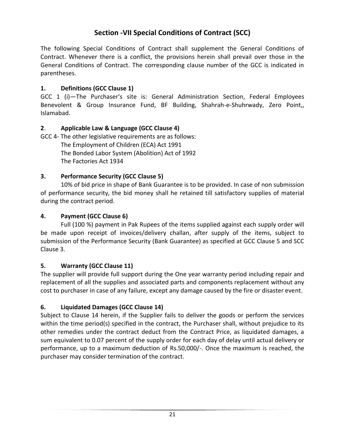# **Section -VII Special Conditions of Contract (SCC)**

The following Special Conditions of Contract shall supplement the General Conditions of Contract. Whenever there is a conflict, the provisions herein shall prevail over those in the General Conditions of Contract. The corresponding clause number of the GCC is indicated in parentheses.

#### **1. Definitions (GCC Clause 1)**

GCC 1 (i)—The Purchaser's site is: General Administration Section, Federal Employees Benevolent & Group Insurance Fund, BF Building, Shahrah-e-Shuhrwady, Zero Point,, Islamabad.

#### **2**. **Applicable Law & Language (GCC Clause 4)**

GCC 4- The other legislative requirements are as follows: The Employment of Children (ECA) Act 1991 The Bonded Labor System (Abolition) Act of 1992 The Factories Act 1934

#### **3. Performance Security (GCC Clause 5)**

10% of bid price in shape of Bank Guarantee is to be provided. In case of non submission of performance security, the bid money shall he retained till satisfactory supplies of material during the contract period.

#### **4. Payment (GCC Clause 6)**

Full (100 %) payment in Pak Rupees of the items supplied against each supply order will be made upon receipt of invoices/delivery challan, after supply of the items, subject to submission of the Performance Security (Bank Guarantee) as specified at GCC Clause 5 and SCC Clause 3.

#### **5. Warranty (GCC Clause 11)**

The supplier will provide full support during the One year warranty period including repair and replacement of all the supplies and associated parts and components replacement without any cost to purchaser in case of any failure, except any damage caused by the fire or disaster event.

#### **6. Liquidated Damages (GCC Clause 14)**

Subject to Clause 14 herein, if the Supplier fails to deliver the goods or perform the services within the time period(s) specified in the contract, the Purchaser shall, without prejudice to its other remedies under the contract deduct from the Contract Price, as liquidated damages, a sum equivalent to 0.07 percent of the supply order for each day of delay until actual delivery or performance, up to a maximum deduction of Rs.50,000/-. Once the maximum is reached, the purchaser may consider termination of the contract.